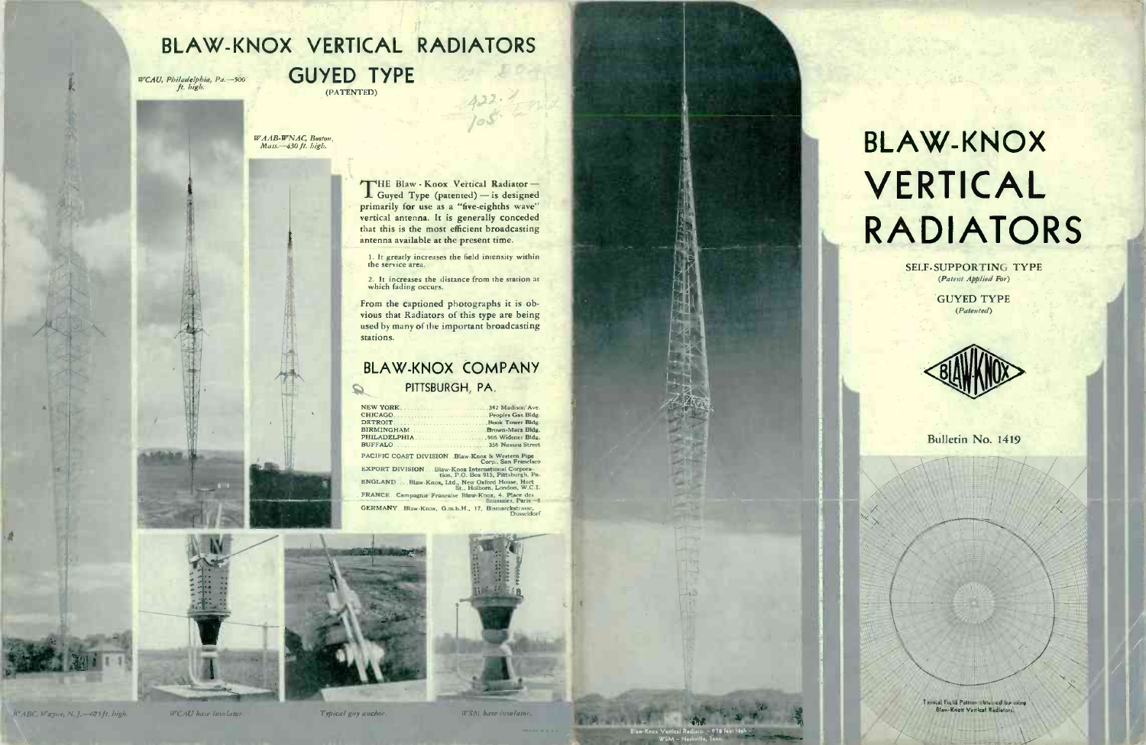## BLAW-KNOX VERTICAL RADIATORS

WCAU, Philadelphia, Pa.-500

**GUYED TYPE** (PATENTED)

WAAB-WNAC, Boston,<br>Mass.-430 ft. high.

THE Blaw - Knox Vertical Radiator primarily for use as a "five-eighths wave" vertical antenna. It is generally conceded that this is the most efficient broadcasting antenna available at the present time.

1. It greatly increases the field intensity within<br>the service area.

2. It increases the distance from the station at which fading occurs.

From the captioned photographs it is obvious that Radiators of this type are being used by many of the important broadcasting stations.

#### **BLAW-KNOX COMPANY** PITTSBURGH, PA.  $\Omega$

342 Madison' Ave

Peoples Gas Bldg

**Book Tower Blds** 

Brown-Marx Bldg

.906 Widener Bldg

.356 Nassau Street

NEW YORK. CHICAGO. DETROIT BIRMINGHAM PHILADELPHIA BUFFALO

PACIFIC COAST DIVISION . Blaw-Knox & Western Pipe **EXPORT DIVISION** Blaw-Knox International Corpora-<br>tion, P.O. Box 915, Pittsburgh, Pa ENGLAND. ... Blaw-Knox, Ltd., New Oxford House, Hart FRANCE Campagnie Francaise Blaw-Knox, 4. Place des

GERMANY Blaw-Knox, G.m.b.H., 17, Bismarckstrasse,





(WABC, Wayne, N.J. - (75ft. bigb.

Typical guy anchor

WSM base insulator



**SELF-SUPPORTING TYPE** (Patent Applied For)

> **GUYED TYPE**  $(Patented)$



Bulletin No. 1419

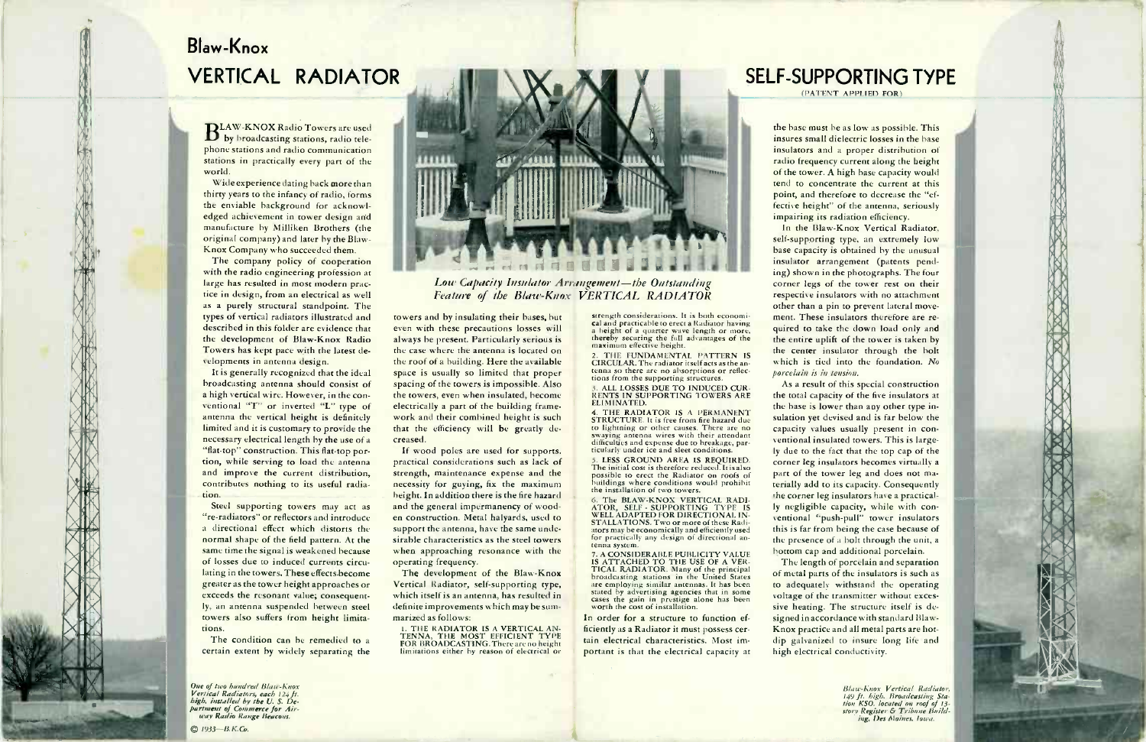# Blaw-Knox VERTICAL RADIATOR

BLAW-KNOX Radio Towers are used<br>B by broadcasting stations, radio tele-

phone stations and radio communication<br>stations in practically every part of the<br>world.<br>Widescrepience dating back more than<br>thirty years to the infinity of radio, forms<br>the enviable background for acknowledged achievement original company) and later by the Blaw-<br>Knox Company who succeeded them.

The company policy of cooperation<br>with the radio engineering profession at large has resulted in most modern practice in design, from an electrical as well<br>as a purely structural standpoint. The types of vertical radiators illustrated and<br>described in this folder are evidence that<br>the development of Blaw-Knox Radio<br>Towers has kept pace with the latest de-<br>velopments in antenna design.

It is generally recognized that the ideal<br>broadcasting antenna should consist of a high vertical wire. However, in the con-<br>ventional "T" or inverted "L" type of antenna the vertical height is definitely<br>limited and it is customary to provide the necessary electrical length by the use of a<br>"flat-top" construction. This flat-top portion, while serving to load the antenna<br>and improve the current distribution,<br>contributes nothing to its useful radiation.

Steel supporting towers may act as "re-radiators" or reflectors and introduce<br>a directional effect which distorts the normal shape of the field pattern. At the<br>same time the signal is weakened because<br>of losses due to induced currents circu-<br>lating in the towers. These effects become<br>greater as the tower height approaches or exceeds the resonant value; consequently, an antenna suspended between steel towers also suffers from height limita- tions.

The condition can be remedied to a certain extent by widely separating the

One of two hundred Blase-Knox<br>Vertical Radiators, each 124 ft.<br>high, installed by the U. S. De-<br>partment of Commerce for Air-<br>way Radio Range 1933-B.K.Co.



**Low Capacity Insulator Arrangement-the Outstanding Feature of the Blaw-Knox VERTICAL RADIATOR** 

towers and by insulating their bases, but even with these precautions losses will always be present. Particularly serious is<br>the case where the antenna is located on the roof of a building. Here the available<br>space is usually so limited that proper<br>spacing of the towers is impossible. Also the towers, even when insulated, become electrically a part of the building framework and their combined height is such that the efficiency will be greatly de-

creased.<br>If wood poles are used for supports,<br>practical considerations such as lack of<br>strength, maintenance expense and the<br>necessity for guying, fix the maximum<br>height. In addition three is the fire hazard<br>and the genera sirable characteristics as the steel towers<br>when approaching resonance with the operating frequency.<br>The development of the Blaw-Knox

Vertical Radiator, self-supporting type,<br>which itself is an antenna, has resulted in<br>definite improvements which may be summarized as follows:<br> **1. THE RADIATOR IS A VERTICAL AND** 

I. THE RADIATOR IS A VERTICAL AN-<br>IN THE RADIATOR IS A VERTICAL AN- TENNA TENNA, THE MOST EFFOR BROADCASTING, There are no height limitations either by reason of electrical or<br>
ETRICAL DISTRICATIONS Either are no height li

strength considerations. It is both economical head practicable to erect a Radiator having a height of a quarter wave length or more, thereby securing the full advantages of the maximum effective height.<br>2. THE FUNDAMENTAL

CIRCULAR. The radiator itself acts as the an-<br>tenna so there are no absorptions or reflec-<br>tions from the supporting structures.

3. ALL LOSSES DUE TO INDUCED CUR-<br>RENTS IN SUPPORTING TOWERS ARE<br>ELIMINATED.<br>4. THE RADIATOR IS A PERMANENT **STRUCTURE.** It is free from fire hazard due<br>to lightning or other causes. There are no<br>swaying antenna wires with their attendant<br>difficulties and expense due to breakage, par-<br>ticularly under ice and sleet conditions.<br>5.

The initial cost is therefore reduced. It is also possible to erect the Radiator on roofs of buildings where conditions would prohibit the installation of two towers.<br>The installation of two towers.

ATOR, SELF SUPPORTING TYPE IS<br>STALLATIONS. TWO INTO THE STALLATIONS TWO MEETING THAT STALLATIONS TWO INTO THE STALLATIONS TWO more of these Radi-<br>tors may be economically and efficiently used<br>for practically any design of

**IS ATTACHED TO THE USE OF A VER-**<br>TICAL RADIATOR. Many of the principal<br>broadcasting stations in the United States<br>broadcasting stations in the United States<br>state employing similar antennas. It has been<br>stated by adverti

In order for a structure to function efportant is that the electrical capacity at

#### SELF-SUPPORTING TYPE

(PATENT APPLIED FOR)

the base must be as low as possible. This insures small dielectric losses in the base insulators and a proper distribution of radio frequency current along the height<br>of the tower. A high base capacity would tend to concentrate the current at this point, and therefore to decrease the "ef-<br>fective height" of the antenna, seriously impairing its radiation efficiency.

In the Blaw-Knox Vertical Radiator,<br>self-supporting type, an extremely low base capacity is obtained by the unusual insulator arrangement (patents pend-<br>ing) shown in the photographs. The four corner legs of the tower rest on their respective insulators with no attachment other than a pin to prevent lateral move ment. These insulators therefore are re-<br>quired to take the down load only and the entire uplift of the tower is taken by<br>the center insulator through the bolt which is tied into the foundation. No<br>porcelain is in tension.

As a result of this special construction<br>the total capacity of the five insulators at the base is lower than any other type in sulation yet devised and is far below the capacity values usually present in con ventional insulated towers. This is largely due to the fact that the top cap of the corner leg insulators becomes virtually a part of the tower leg and does not ma-<br>terially add to its capacity. Consequently the corner leg insulators have a practical-<br>Iv negligible capacity, while with conventional "push-pull" tower insulators<br>this is far from being the case because of the presence of a bolt through the unit, a bottom cap and additional porcelain. The length of porcelain and separation

of metal parts of the insulators is such as to adequately withstand the operating voltage of the transmitter without exces- sive heating. The structure itself is de signed in accordance with standard Blaw- Knox practice and all metal parts are hotdip galvanized to insure long life and high electrical conductivity.

> Blaw-Knox Vertical Radiator,<br>149 ft. high. Broadcasting Sta-<br>tion KSO, located on roof of 13-<br>story Register & Tribune Building, Des Moines, Iowa.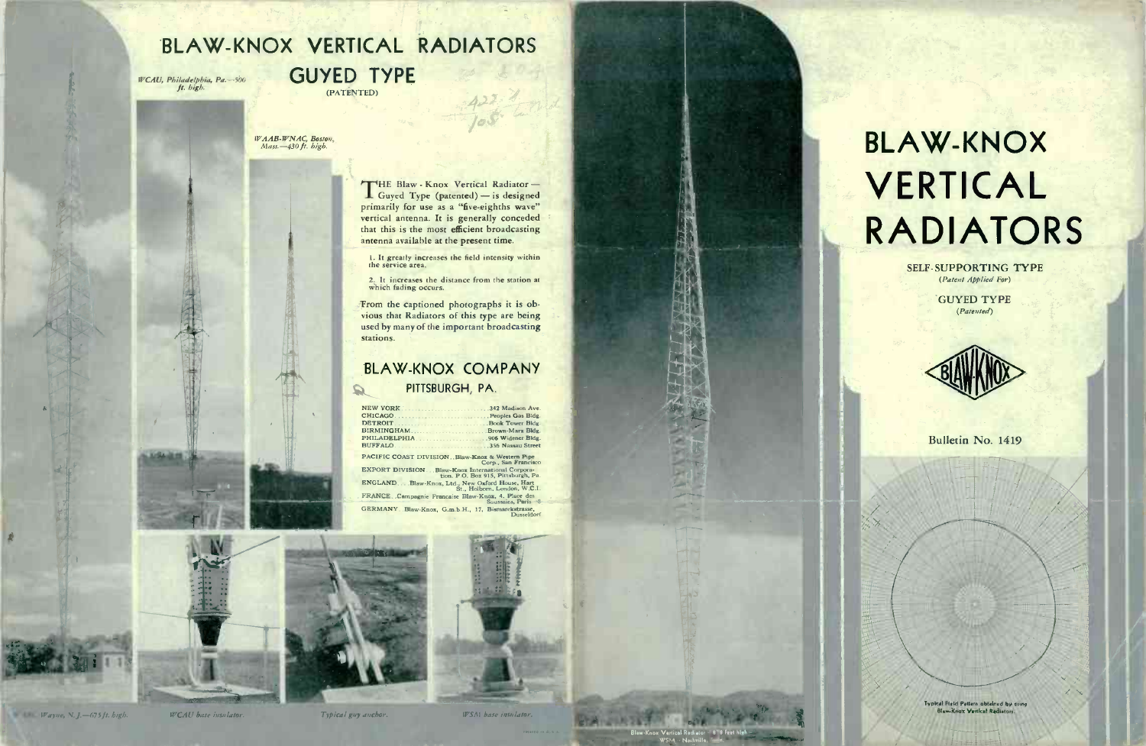## **BLAW-KNOX VERTICAL RADIATORS**

WCAU, Philadelphia, Pa. -- 500

**GUYED TYPE** (PATÈNTED)

WAAB-WNAC, Boston,<br>Mass.-430 ft. high.

THE Blaw - Knox Vertical Radiator-Guyed Type (patented) - is designed primarily for use as a "five-eighths wave" vertical antenna. It is generally conceded that this is the most efficient broadcasting antenna available at the present time.

1. It greatly increases the field intensity within<br>the service area.

2. It increases the distance from the station at which fading occurs.

From the captioned photographs it is obvious that Radiators of this type are being used by many of the important broadcasting stations.

#### **BLAW-KNOX COMPANY** PITTSBURGH, PA.  $\mathcal{Q}$

NEW YORK 342 Madison Ave CHICAGO. Peoples Gas Bidg. **DETROIT** Book Tower Bldg BIRMINGHAM Brown-Marx Bldg PHILADELPHIA 906 Widener Bldg. BUFFALO .356 Nassau Street

PACIFIC COAST DIVISION...Blaw-Knox & Western Pipe EXPORT DIVISION... Blaw-Knox Externational Corpora-ENGLAND. . . Blaw-Knox, Ltd., New Oxford House, Hart FRANCE, Campagnie Francaise Blaw-Knox, 4. Place des

GERMANY Blaw-Knox, G.m.b.H., 17, Bismarckstrasse,





# **BLAW-KNOX** VERTICAL **RADIATORS**

**SELF-SUPPORTING TYPE** (Patent Applied For)

> **GUYED TYPE** (Patented)



Bulletin No. 1419





**WCAU** hase insulator

Typical guy auchor.

WSM base insulator.

Blaw-Knox Vertical Rediator - 1818 Feet high